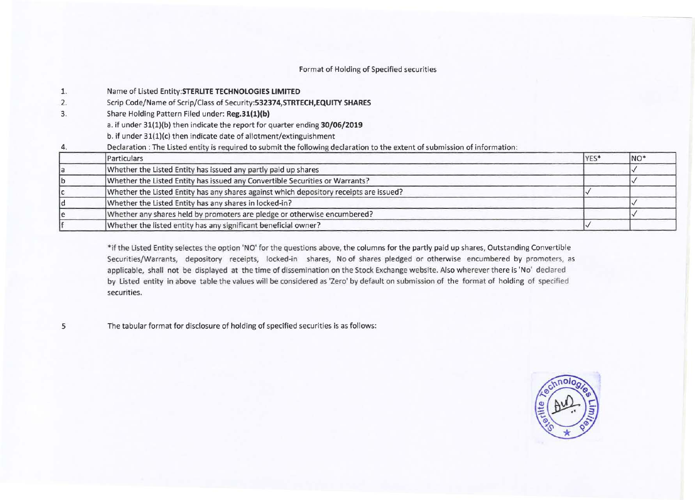# Format of Holding of Specified securities

- 1. Name of Listed **Entity:STERLITE TECHNOLOGIES LIMITED**
- 2. Scrip Code/Name of Scrip/Class of **Security:532374,STRTECH,EQUITY SHARES**
- 3. Share Holding Pattern Filed under: **Reg.31(1)(b)** 
	- a. if under 31(1)(b) then indicate the report for quarter ending **30/06/2019**
	- b. if under 31(1)(c) then indicate date of allotment/extinguishment
- 4. Declaration : The Listed entity is required to submit the following declaration to the extent of submission of information:

| Particulars                                                                            | YES <sup>*</sup> | NO <sup>*</sup> |
|----------------------------------------------------------------------------------------|------------------|-----------------|
| Whether the Listed Entity has issued any partly paid up shares                         |                  |                 |
| Whether the Listed Entity has issued any Convertible Securities or Warrants?           |                  |                 |
| Whether the Listed Entity has any shares against which depository receipts are issued? |                  |                 |
| Whether the Listed Entity has any shares in locked-in?                                 |                  |                 |
| Whether any shares held by promoters are pledge or otherwise encumbered?               |                  |                 |
| Whether the listed entity has any significant beneficial owner?                        |                  |                 |

\*if the Listed Entity selectes the option **'NO'** for the questions above, the columns for the partly paid up shares, Outstanding Convertible Securities/Warrants, depository receipts, locked-in shares, No of shares pledged or otherwise encumbered by promoters, as applicable, shall not be displayed at the time of dissemination on the Stock Exchange website. Also wherever there is 'No' declared by Listed entity in above table the values will be considered as 'Zero' by default on submission of the format of holding of specified securities.

5

The tabular format for disclosure of holding of specified securities is as follows:

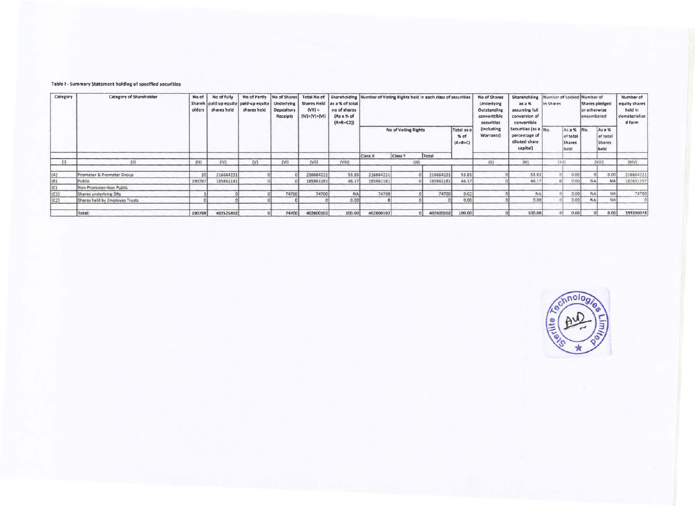# Table I - Summary Statement holding of speclfled securities

| Category       | <b>Category of Shareholder</b> | No of           | No of fully |                                                                      |                        |                              |                                                                          |                                                        |         | No of Partly No of Shares   Total No of   Shareholding   Number of Voting Rights held in each class of securities |        | No of Shares                                            | Shareholding Number of Locked Number of                           |                                                 |               |                                              |           | Number of                                           |
|----------------|--------------------------------|-----------------|-------------|----------------------------------------------------------------------|------------------------|------------------------------|--------------------------------------------------------------------------|--------------------------------------------------------|---------|-------------------------------------------------------------------------------------------------------------------|--------|---------------------------------------------------------|-------------------------------------------------------------------|-------------------------------------------------|---------------|----------------------------------------------|-----------|-----------------------------------------------------|
|                |                                | olders          | shares held | Shareh   paid up equity   paid-up equity   Underlying<br>shares held | Depository<br>Receipts | $(VII) =$<br>$(IV)+(V)+(VI)$ | Shares Held as a % of total<br>no of shares<br>(As a % of<br>$(A+B+C2))$ |                                                        |         |                                                                                                                   |        | Underlying<br>Outstanding<br>converttible<br>securities | asa%<br>assuming full<br>conversion of<br>convertible             | in Shares                                       |               | Shares pledged<br>or otherwise<br>encumbered |           | equity shares<br>held in<br>dematerialize<br>d form |
|                |                                |                 |             |                                                                      |                        |                              |                                                                          | Total as a<br>No of Voting Rights<br>% of<br>$(A+B+C)$ |         |                                                                                                                   |        | (Including<br>Warrants)                                 | Securities (as a Nn<br>percentage of<br>diluted share<br>capital) | As a % No.<br>of total<br><b>Shares</b><br>held |               | As a %<br>of total<br>Shares<br>held         |           |                                                     |
|                |                                |                 |             |                                                                      |                        |                              |                                                                          | Class X                                                | Class Y | Total                                                                                                             |        |                                                         |                                                                   |                                                 |               |                                              |           |                                                     |
| (1)            | $^{111}$                       | (111)           | (IV)        | (V)                                                                  | (Vt)                   | (VII)                        | (VIII)                                                                   |                                                        |         | f(X)                                                                                                              |        | (X)                                                     | [X]                                                               |                                                 | $L \times 11$ |                                              | (XIII)    | (XIV)                                               |
| (A)            | Promoter & Promoter Group      | 10 <sub>1</sub> | 216664221   |                                                                      |                        | 216664221                    | 53.83                                                                    | 216664221                                              |         | 216664221                                                                                                         | 53.81  |                                                         | 53.8                                                              |                                                 | 0.00          |                                              | 0.00      | 216664221                                           |
| $(\mathsf{B})$ | Public                         | 190787          | 185861181   |                                                                      |                        | 185861181                    | 46.17                                                                    | 185861181                                              |         | 155861181                                                                                                         | 46.17  |                                                         | 46.17                                                             |                                                 | 0.00          | NA.                                          | <b>NA</b> | 182651157                                           |
| (C)            | Non Promoter-Non Public        |                 |             |                                                                      |                        |                              |                                                                          |                                                        |         |                                                                                                                   |        |                                                         |                                                                   |                                                 |               |                                              |           |                                                     |
| (C1)           | Shares underlying DRs          |                 |             |                                                                      | 74700                  | 74700                        | NA.                                                                      | 74700                                                  |         | 74700                                                                                                             | 0.02   |                                                         | NA                                                                |                                                 | 0.00          | NA.                                          | NA:       | 74700                                               |
| (C2)           | Shares held by Employes Trusts |                 |             |                                                                      |                        |                              | 0.001                                                                    |                                                        |         |                                                                                                                   | 0.00   |                                                         | 0.00                                                              |                                                 | 0.00          | NA1                                          | <b>NA</b> |                                                     |
|                | Total:                         | 190798          | 402525402   |                                                                      | 74700                  | 402600102                    | 100.00                                                                   | 402600102                                              |         | 402600102                                                                                                         | 100.00 |                                                         | 100.00                                                            |                                                 | 0.00          |                                              | 0.00      | 399390078                                           |

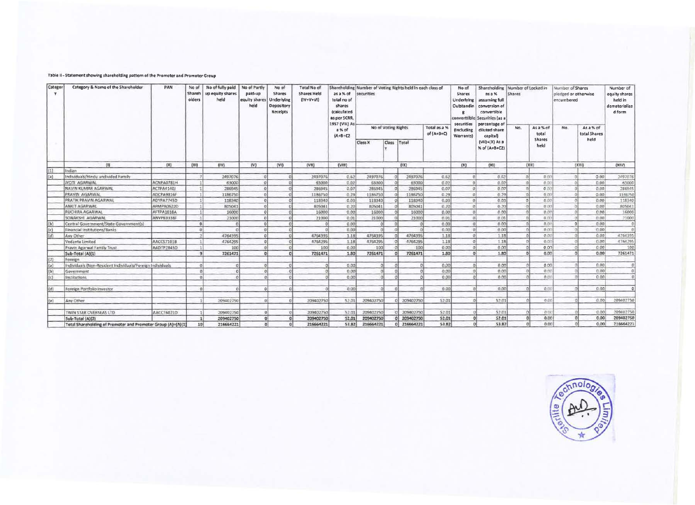### Table II - Statement showing shareholding pattern of the Promoter and Promoter Group

| Categor<br>v                  | Category & Name of the Shareholder                           | PAN               | No of<br>Shareh<br>olders | No of fully paid<br>up equity shares<br>held | No of Partly<br>paid-up<br>equity shares<br>held | No of<br>Shares<br>Underlying<br>Depository<br>Receipts | Total No of<br><b>Shares Held</b><br>$(IV+V+VI)$ | as a % of<br>total no of<br>shares<br>(calculated<br>as per SCRR, | Shareholding Number of Voting Rights held in each class of<br>securities |                      |                       |                              | No of<br><b>Shares</b><br>Underlying<br>Outstandin | Shareholding Number of Locked in<br>asa%<br>assuming full<br>conversion of<br>convertible<br>converttible Securities (as a | Shares |                       | Number of Shares<br>pledged or otherwise<br>encumbered |                           | Number of<br>equity shares<br>held in<br>dematerialize<br>d form |
|-------------------------------|--------------------------------------------------------------|-------------------|---------------------------|----------------------------------------------|--------------------------------------------------|---------------------------------------------------------|--------------------------------------------------|-------------------------------------------------------------------|--------------------------------------------------------------------------|----------------------|-----------------------|------------------------------|----------------------------------------------------|----------------------------------------------------------------------------------------------------------------------------|--------|-----------------------|--------------------------------------------------------|---------------------------|------------------------------------------------------------------|
|                               |                                                              |                   |                           |                                              |                                                  |                                                         |                                                  | 1957 (VIII) As<br>a % of<br>$(A + B + C2)$                        | No of Voting Rights                                                      |                      |                       | Total as a %<br>of $(A+B+C)$ | securities<br>(Including<br>Warrants)              | percentage of<br>diluted share<br>capital)                                                                                 | No.    | As a % of<br>total    | No.                                                    | As a % of<br>total Shares |                                                                  |
|                               |                                                              |                   |                           |                                              |                                                  |                                                         |                                                  |                                                                   | <b>Class</b><br>Class X                                                  |                      | Total                 |                              |                                                    | $(VII)+(X)$ As a<br>% of (A+B+C2)                                                                                          |        | <b>Shares</b><br>held |                                                        | held                      |                                                                  |
|                               | (1)                                                          | (11)              | (131)                     | (IV)                                         | (V)                                              | (VI)                                                    | fV(1)                                            | (VIII)                                                            |                                                                          |                      | (IX)                  |                              | (X)                                                | (X1)                                                                                                                       |        | $\{XH\}$              |                                                        | (XIII)                    | (XIV)                                                            |
| (1)                           | Indian                                                       |                   |                           |                                              |                                                  |                                                         |                                                  |                                                                   |                                                                          |                      |                       |                              |                                                    |                                                                                                                            |        |                       |                                                        |                           |                                                                  |
| (a)                           | Individuals/Hindu undivided Family                           |                   |                           | 2497076                                      | $\Omega$                                         |                                                         | 2497076                                          | 0.62                                                              | 2497076                                                                  | ol                   | 2497076               | 0.62                         | $\alpha$                                           | 0.67                                                                                                                       |        | 0.00                  |                                                        | 0.001                     | 2497078                                                          |
|                               | <b>IYOTI AGARWAL</b>                                         | ACNPA0781H        |                           | 63000                                        |                                                  |                                                         | 63000                                            | 0.02                                                              | 63000                                                                    | $\alpha$             | 63000                 | 0.02                         | $\alpha$                                           | 0.02                                                                                                                       |        | 0.00                  |                                                        | 0.00                      | 63000                                                            |
|                               | NAVIN KUMAR AGARWAL                                          | <b>ACTPA4140J</b> |                           | 286945                                       |                                                  |                                                         | 286945                                           | 0.07                                                              | 286945                                                                   |                      | 286945                | 0.07                         | $\Omega$                                           | 0.07                                                                                                                       |        | 0.00                  |                                                        | 0.00                      | 286945                                                           |
|                               | PRAVIN AGARWAL                                               | ADCPA9816F        |                           | 1186750                                      |                                                  |                                                         | 1186750                                          | 0.29                                                              | 1186750                                                                  |                      | 1186750               | 0.29                         | øł                                                 | 0.39                                                                                                                       |        | 0.00                  |                                                        | 0.00                      | 1186750                                                          |
|                               | PRATIK PRAVIN AGARWAL                                        | ADYPA7745D        |                           | 118340                                       |                                                  |                                                         | 118340                                           | 0.03                                                              | 118340                                                                   |                      | 118340                | 0.03                         | $\Omega$                                           | 0.03                                                                                                                       |        | 0.00                  |                                                        | 0.00                      | 118340                                                           |
|                               | ANKIT AGARWAL                                                | AFMPA0622D        |                           | 805041                                       |                                                  |                                                         | 805041                                           | 0.20                                                              | 805041                                                                   |                      | 805041                | 0.20                         | $\alpha$                                           | 0.20                                                                                                                       |        | 0.00                  |                                                        | 0.00                      | 805041                                                           |
|                               | <b>RUCHIRA AGARWAI</b>                                       | AFTPA1BISA        |                           | 16000                                        |                                                  |                                                         | 16000                                            | 0.00                                                              | 16000                                                                    | $\Omega$             | 16000                 | 0.00                         | 0                                                  | 0.00                                                                                                                       |        | 0.00                  |                                                        | 0.00                      | 16000                                                            |
|                               | SONAKSHI AGARWAL                                             | ANVPK0338F        |                           | 21000                                        |                                                  |                                                         | 21000                                            | 0.01                                                              | 21000                                                                    | $\alpha$             | 21000                 | 0.01                         | $\Omega$                                           | 0.01                                                                                                                       |        | 0.00                  |                                                        | 0.00                      | 21000                                                            |
| (b)                           | Central Government/State Government(s)                       |                   | n                         |                                              |                                                  |                                                         |                                                  | 0.001                                                             |                                                                          | $\Omega$             | $\Omega$              | 0.00                         | $\alpha$                                           | 0.00                                                                                                                       |        | 0.00                  | $\Omega$                                               | 0.00                      |                                                                  |
|                               | Financial Institutions/Banks                                 |                   |                           |                                              |                                                  |                                                         |                                                  | 0.00                                                              |                                                                          | a                    | $\Omega$              | 0.00                         | $\mathcal{D}$                                      | 0.00                                                                                                                       |        | 0.00                  |                                                        | 0.00                      |                                                                  |
| $\frac{ c\rangle}{ d\rangle}$ | Any Other                                                    |                   |                           | 4764395                                      |                                                  |                                                         | 4764395                                          | 1.18                                                              | 4764395                                                                  | $\Omega$             | 4764395               | 1.18                         | a                                                  | 1.18                                                                                                                       |        | 0.00                  |                                                        | 0.00                      | 4764395                                                          |
|                               | Vedanta Limited                                              | AACCS7101B        |                           | 4764295                                      | $\mathbf{r}$                                     |                                                         | 4764295                                          | 1.18                                                              | 4764295                                                                  | $\Omega$             | 4764295               | 1.18                         | $\Omega$                                           | 1.18                                                                                                                       |        | 0.00                  |                                                        | 0.00                      | 4764295                                                          |
|                               | Pravin Agarwal Family Trust                                  | AADTP2845D        |                           | 100                                          |                                                  |                                                         | 100                                              | 0.00                                                              | 100                                                                      | n                    | 100                   | 0.00                         | n)                                                 | 0.00                                                                                                                       |        | 0.00                  |                                                        | 0.00                      | 100                                                              |
|                               | Sub-Total (A)(1)                                             |                   |                           | 7261471                                      | n                                                |                                                         | 7261471                                          | 1.80                                                              | 7261471                                                                  |                      | nl<br>7261471         | 1.80                         | $\Omega$                                           | 1.80                                                                                                                       |        | 0.00                  |                                                        | 0.00                      | 7261471                                                          |
| $\langle 2 \rangle$           | Foreign                                                      |                   |                           |                                              |                                                  |                                                         |                                                  |                                                                   |                                                                          |                      |                       |                              |                                                    |                                                                                                                            |        |                       |                                                        |                           |                                                                  |
| (a)                           | Individuals (Non-Resident Individuals/Foreign Individuals    |                   |                           |                                              |                                                  |                                                         |                                                  | 0.00                                                              |                                                                          |                      |                       | 0.00                         | $\Omega$                                           | 0.00                                                                                                                       |        | 0.00                  |                                                        | 0.00                      |                                                                  |
| (b)                           | Government                                                   |                   |                           |                                              |                                                  |                                                         |                                                  | 0.00                                                              |                                                                          |                      |                       | 0.00                         |                                                    | 0.00                                                                                                                       |        | 0.00                  |                                                        | 0.00                      | 0                                                                |
| (c)                           | Institutions                                                 |                   |                           |                                              |                                                  |                                                         |                                                  | 0.00                                                              |                                                                          | $\Omega$             |                       | 0.00                         | $\Omega$                                           | 0.00                                                                                                                       |        | 0.00                  |                                                        | 0.00                      |                                                                  |
| (d)                           | Foreign Portfolio Investor                                   |                   | $\Omega$                  | $\Omega$                                     | $\Omega$                                         |                                                         |                                                  | 0.00                                                              |                                                                          | $\alpha$<br>$\Omega$ |                       | 0.00                         | ol                                                 | 0.00                                                                                                                       |        | 0.00                  |                                                        | 0.00                      | ol                                                               |
| (e)                           | Any Other                                                    |                   |                           | 209402750                                    |                                                  |                                                         | 209402750                                        | 52.01                                                             | 209402750                                                                |                      | 209402750             | 52.01                        | $\alpha$                                           | 52.01                                                                                                                      |        | 0.00                  |                                                        | 0.00                      | 209402750                                                        |
|                               | TWIN STAR OVERSEAS LTD                                       | AACCT6021D        |                           | 209402750                                    |                                                  |                                                         | 209402750                                        | 52.01                                                             | 209402750                                                                |                      | 209402750             | 52.01                        | $\sigma$                                           | 52.01                                                                                                                      |        | 000                   |                                                        | 0.00                      | 209402756                                                        |
|                               | Sub-Total (A)(2)                                             |                   |                           | 209402750                                    |                                                  |                                                         | 209402750                                        | 52.01                                                             | 209402750                                                                |                      | 209402750             | 52.01                        |                                                    | $\circ$<br>52.01                                                                                                           |        | 0.00                  | $\Omega$                                               | 0.00                      | 209402750                                                        |
|                               | Total Shareholding of Promoter and Promoter Group (A)=(A)(1) |                   | 10 <sup>1</sup>           | 216664221                                    |                                                  | $\Omega$                                                | 216664221                                        | 53.82                                                             | 216664221                                                                |                      | 216664221<br>$\Omega$ | 53.82                        |                                                    | 53.82<br>$\Omega$                                                                                                          |        | 0.00<br>n             |                                                        | 0.00                      | 216664221                                                        |

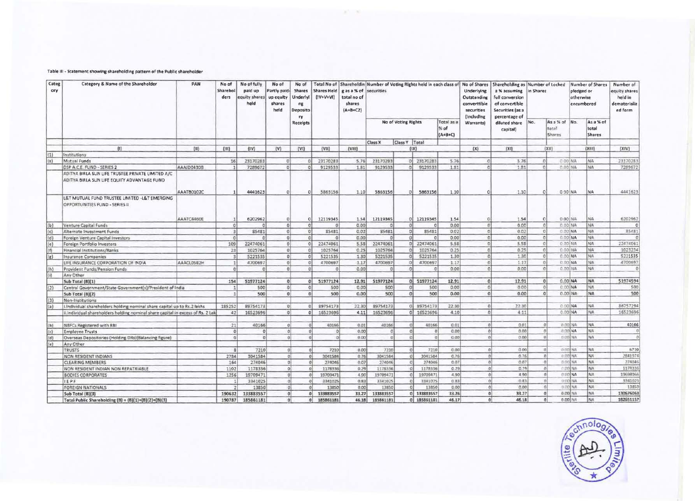# Table III - Statement showing shareholding pattern of the Public shareholder

| Categ<br>ory | Category & Name of the Shareholder                                                               | PAN        | No of<br>Sharehol<br>ders | No of fully<br>paid up<br>equity shares<br>held | No of<br>Partly paid<br>up equity<br>shares<br>held | No of<br><b>Shares</b><br>Underlyi<br>ng<br>Deposito<br>ry | Shares Held<br>$(IV+V+VI)$ | g as a % of securities<br>total no of<br>shares<br>$(A+B+CZ)$ |                     |               |                 |                                   | Underlying<br>Outstanding<br>converttible<br>securities<br>(Including | Total No of   Shareholdin Number of Voting Rights held in each class of No of Shares   Shareholding as Number of Locked<br>a % assuming<br>full conversion<br>of convertible<br>Securities (as a<br>percentage of | in Shares |                                  | Number of Shares<br>pledged or<br>otherwise<br>encumbered |                                     | Number of<br>equity shares<br>held in<br>dematerlaliz<br>ed form |
|--------------|--------------------------------------------------------------------------------------------------|------------|---------------------------|-------------------------------------------------|-----------------------------------------------------|------------------------------------------------------------|----------------------------|---------------------------------------------------------------|---------------------|---------------|-----------------|-----------------------------------|-----------------------------------------------------------------------|-------------------------------------------------------------------------------------------------------------------------------------------------------------------------------------------------------------------|-----------|----------------------------------|-----------------------------------------------------------|-------------------------------------|------------------------------------------------------------------|
|              |                                                                                                  |            |                           |                                                 |                                                     | <b>Receipts</b>                                            |                            |                                                               | No of Voting Rights |               |                 | Total as a<br>$%$ of<br>$(A+B+C)$ | <b>Warrantsl</b>                                                      | diluted share<br>capital)                                                                                                                                                                                         | No.       | As a % of No.<br>total<br>Shares |                                                           | As a % of<br>total<br><b>Shares</b> |                                                                  |
|              |                                                                                                  |            |                           |                                                 |                                                     |                                                            |                            |                                                               | Class X             | Class Y Total |                 |                                   |                                                                       |                                                                                                                                                                                                                   |           |                                  |                                                           |                                     |                                                                  |
|              | $\{1\}$                                                                                          | (11)       | (111)                     | (IV)                                            | $\mathsf{I} \mathsf{V} \mathsf{I}$                  | [VI]                                                       | $\{VII\}$                  | (VIII)                                                        |                     |               | (1)             |                                   | (X)                                                                   | [X!]                                                                                                                                                                                                              |           | (xii)                            |                                                           | (XIII)                              | (XIV)                                                            |
| (1)          | Institutions                                                                                     |            |                           |                                                 |                                                     |                                                            |                            |                                                               |                     |               |                 |                                   |                                                                       |                                                                                                                                                                                                                   |           |                                  |                                                           |                                     |                                                                  |
| (a)          | Mutual Funds                                                                                     |            | 16                        | 23170283                                        | $\sigma$                                            |                                                            | 23170283                   | 5.76                                                          | 23170283            |               | 0 23170283      | 5.76                              | $\Omega$                                                              | 5.76                                                                                                                                                                                                              |           | 10                               | C CO NA                                                   | NA:                                 | 23170283                                                         |
|              | DSP A.C.E. FUND - SERIES 2                                                                       | AAAJD0430B |                           | 7289672                                         | $\alpha$                                            |                                                            | 9129533                    | 1.81                                                          | 9129533             | $\Omega$      | 9129533         | 1.21                              | $\sigma$                                                              | 1.81                                                                                                                                                                                                              |           |                                  | 0.00 MA                                                   | NA                                  | 7289672                                                          |
|              | ADITYA BIRLA SUN LIFE TRUSTEE PRIVATE LIMITED A/C<br>ADITYA BIRLA SUN LIFE EQUITY ADVANTAGE FUND | AAATB0102C |                           | 4441623                                         | ol                                                  |                                                            | 5863156                    | 1.10                                                          | 5863156             | $\Omega$      | 5863156         | 1.10                              | $\Omega$                                                              | 1.10                                                                                                                                                                                                              |           | $\circ$                          | 0.00 NA                                                   | <b>NA</b>                           | 4441623                                                          |
|              | L&T MUTUAL FUND TRUSTEE LIMITED -L&T EMERGING<br>OPPORTUNITIES FUND - SERIES II                  | AAATC4460E |                           | 6202962                                         | $\circ$                                             | 0 <sup>1</sup>                                             | 12119345                   | 1.54                                                          | 12119345            | $\Omega$      | 12119345        | 1.54                              | $\Omega$                                                              | 1.54                                                                                                                                                                                                              |           | 0                                | 0 00 NA                                                   | NA.                                 | 6202962                                                          |
| (b)          | Venture Capital Funds                                                                            |            | $\circ$                   |                                                 | O <sub>1</sub>                                      | $\Omega$                                                   | $\Omega$                   | 0.00                                                          | $\Omega$            | $\sigma$      |                 | 0.00                              | $\Omega$                                                              | 0.00                                                                                                                                                                                                              |           | $\Omega$                         | 0.00 NA                                                   | NA.                                 |                                                                  |
| (c)          | Alternate Investment Funds                                                                       |            | $\overline{3}$            | 85481                                           | σl                                                  | $\sigma$                                                   | 85481                      | 0.02                                                          | 85481               | ol            | 85481           | 0.02                              | $\Omega$                                                              | 0.02                                                                                                                                                                                                              |           | $\circ$                          | 0.00 NA                                                   | NA.                                 | 85481                                                            |
| (d)          | Foreign Venture Capital Investors                                                                |            | $\alpha$                  |                                                 | $\sigma$                                            | $\Omega$                                                   | $\Omega$                   | 0.00                                                          | $\Omega$            | $\Omega$      | $\Omega$        | 0.00                              | $\Omega$                                                              | 0.00                                                                                                                                                                                                              |           | $\Omega$                         | 0.00 NA                                                   | NA.                                 |                                                                  |
| (e)          | Foreign Portfolio Investors                                                                      |            | 109                       | 22474061                                        | 0                                                   | $\circ$                                                    | 22474061                   | 5.58                                                          | 22474061            |               | $0$ 22474061    | 5.58                              | $\Omega$                                                              | 5.58                                                                                                                                                                                                              |           | $\sigma$                         | 0.00 NA                                                   | NA                                  | 22474061                                                         |
| (f)          | Financial Institutions/Banks                                                                     |            | 23                        | 1025764                                         | 0                                                   | $\Omega$                                                   | 1025764                    | 0.25                                                          | 1025764             | $^{\circ}$    | 1025764         | 0.25                              | $\sigma$                                                              | 0.25                                                                                                                                                                                                              |           | $\Omega$                         | $0.00$ NA                                                 | NA <sub></sub>                      | 1023234                                                          |
| (g)          | Insurance Companies                                                                              |            |                           | 5221535                                         | $\Omega$                                            | $\Omega$                                                   | 5221535                    | 1.30                                                          | 5221535             | $\Omega$      | 5221535         | 1.30                              | $\Omega$                                                              | 1.30                                                                                                                                                                                                              |           | $\cdot$ O                        | 0.00 NA                                                   | NA.                                 | 5221535                                                          |
|              | LIFE INSURANCE CORPORATION OF INDIA                                                              | AAACL0582H |                           | 4700697                                         | $\Omega$                                            | $\circ$                                                    | 4700697                    | 1.17                                                          | 4700697             | Ð             | 4700697         | 1.17                              | Ö                                                                     | 1.17                                                                                                                                                                                                              |           | $\Omega$                         | $0.00$ <sub>NA</sub>                                      | NA                                  | 4700697                                                          |
| (h)          | Provident Funds/Pension Funds                                                                    |            |                           |                                                 | $\Omega$                                            |                                                            |                            | 0.00                                                          | $\Omega$            | n             |                 | 0.00                              | $\sigma$                                                              | 0.00                                                                                                                                                                                                              |           | $\alpha$                         | 0.00 NA                                                   | <b>NA</b>                           |                                                                  |
| $\{i\}$      | Any Other                                                                                        |            |                           |                                                 |                                                     |                                                            |                            |                                                               |                     |               |                 |                                   |                                                                       |                                                                                                                                                                                                                   |           |                                  |                                                           |                                     |                                                                  |
|              | <b>Sub Total (8)(1)</b>                                                                          |            | 154                       | 51977124                                        | 0                                                   | 0                                                          | 51977124                   | 12.91                                                         | 51977124            |               | 0 51977124      | 12.91                             | $\Omega$                                                              | 12.91                                                                                                                                                                                                             |           | $\overline{0}$                   | $0.00$ NA                                                 | MA                                  | 51974594                                                         |
| (2)          | Central Government/State Government(s)/President of India                                        |            |                           | 500                                             | $\Omega$                                            | $\Omega$                                                   | 500                        | 0.00                                                          | 500                 |               | 500             | 0.00                              | $\Omega$                                                              | 0.00                                                                                                                                                                                                              |           | -0                               | 0.00 NA                                                   | NA                                  | 500                                                              |
|              | Sub Total (B)(2)                                                                                 |            | $\mathbf{1}$              | 500                                             | 0                                                   | $\Omega$                                                   | 500                        | 0.00                                                          | 500                 | ol            | 500             | 0.00                              | $\Omega$                                                              | 0.00                                                                                                                                                                                                              |           | o                                | $0.00$ NA                                                 | <b>NA</b>                           | 500                                                              |
| (3)          | Non-Institutions                                                                                 |            |                           |                                                 |                                                     |                                                            |                            |                                                               |                     |               |                 |                                   |                                                                       |                                                                                                                                                                                                                   |           |                                  |                                                           |                                     |                                                                  |
| (a)          | Individual shareholders holding nominal share capital up to Rs.2 lakhs                           |            | 185252                    | B9754173                                        | $\Omega$                                            | $\alpha$                                                   | 89754173                   | 22.30                                                         | 89754173            |               | 89754173<br>o   | 22.30                             | $\alpha$                                                              | 22.30                                                                                                                                                                                                             |           |                                  | 0.00 NA                                                   | NA.                                 | 86757294                                                         |
|              | ii.Individual shareholders holding nominal share capital in excess of Rs. 2 Lak                  |            | 42                        | 16523696                                        | $\mathfrak{q}$                                      | 0 <sup>1</sup>                                             | 16523696                   | 4.11                                                          | 16523696            |               | 16523696<br>0   | 4.10                              | n                                                                     | 4.11                                                                                                                                                                                                              |           |                                  | $0.00$ NA                                                 | NA                                  | 16523696                                                         |
|              |                                                                                                  |            | 21                        | 40166                                           | $\Omega$                                            |                                                            | 40166                      | 0.01                                                          | 40166               |               | 40166           | 0.01                              |                                                                       | 0.01                                                                                                                                                                                                              |           |                                  | D.DO NA                                                   | NA                                  | 40166                                                            |
| (b)<br>(c)   | NBFCs Registered with RBI<br><b>Employee Trusts</b>                                              |            | $\Omega$                  | $\Omega$                                        | 0                                                   | o                                                          | $\circ$                    | 0.00                                                          | $\Omega$            |               | O.              | 0.00                              |                                                                       | 0.00                                                                                                                                                                                                              |           |                                  | $0.00$ NA                                                 | NA                                  |                                                                  |
|              | Overseas Depositories (Holding DRs)(Balancing figure)                                            |            | e                         | $\Omega$                                        | $\Omega$                                            | $\mathfrak{a}$                                             | 0                          | 0.00                                                          | $\Omega$            | $\Box$        | $\alpha$        | 0.00                              |                                                                       | 0.00                                                                                                                                                                                                              |           | $\sqrt{2}$                       | 0.001NA                                                   | NA                                  |                                                                  |
| (d)<br>(e)   | Any Other                                                                                        |            |                           |                                                 |                                                     |                                                            |                            |                                                               |                     |               |                 |                                   |                                                                       |                                                                                                                                                                                                                   |           |                                  |                                                           |                                     |                                                                  |
|              | TRUSTS                                                                                           |            | R                         | 7210                                            | $\Omega$                                            | $\sim$                                                     | 7210                       | 0.00                                                          | 7210                | $\Omega$      | 7210            | 0.00                              | $\Omega$                                                              | 0.00                                                                                                                                                                                                              |           | $\alpha$                         | $0.00$ NA                                                 | NA <sub></sub>                      | 6710                                                             |
|              | NON RESIDENT INDIANS                                                                             |            | 2784                      | 3041584                                         | $\circ$                                             | $\Omega$                                                   | 3041584                    | 0.76                                                          | 3041584             | $\circ$       | 3041584         | 0.76                              |                                                                       | 0.76                                                                                                                                                                                                              |           |                                  | $0.00$ NA                                                 | NA.                                 | 2841974                                                          |
|              | <b>CLEARING MEMBERS</b>                                                                          |            | 164                       | 274046                                          | $\sigma$                                            |                                                            | 274046                     | 0.07                                                          | 274046              |               | 274046          | 0.07                              |                                                                       | 0.07                                                                                                                                                                                                              |           |                                  | $0.001$ NA                                                | <b>NA</b>                           | 274046                                                           |
|              | NON RESIDENT INDIAN NON REPATRIABLE                                                              |            | 1102                      | 1178336                                         | 0                                                   |                                                            | 1178336                    | 0.29                                                          | 1178336             |               | 1178336         | 0.29                              |                                                                       | 0.29                                                                                                                                                                                                              |           |                                  | $0.001M$ A                                                | NA                                  | 117833                                                           |
|              | <b>BODIES CORPORATES</b>                                                                         |            | 1256                      | 19709471                                        | $\sigma$                                            |                                                            | 19709471                   | 4.90                                                          | 19709471            |               | 19709471        | 4.90                              |                                                                       | 4.90                                                                                                                                                                                                              |           |                                  | 0.00 NA                                                   | NA <sub></sub>                      | 1969896                                                          |
|              | IEPF                                                                                             |            |                           | 3341025                                         | $\Omega$                                            |                                                            | 3341025                    | 0.83                                                          | 3341025             |               | 3341025         | 0.83                              |                                                                       | 0.83                                                                                                                                                                                                              |           |                                  | $0.00$ NA                                                 | NA                                  | 334102                                                           |
|              | <b>FOREIGN NATIONALS</b>                                                                         |            |                           | 13850                                           | 0                                                   |                                                            | 13850                      | 0.00                                                          | 13850               |               | 13850           | 0.00                              |                                                                       | 0.00                                                                                                                                                                                                              |           |                                  | <b>D.DO NA</b>                                            | NA                                  | 13850                                                            |
|              | Sub Total (B)(3)                                                                                 |            | 190632                    | 133883557                                       | $\Omega$                                            |                                                            | 133883557                  | 33.27                                                         | 133883557           |               | 133883557<br>οl | 33.26                             | $\Omega$                                                              | 33.27                                                                                                                                                                                                             |           | $\Omega$                         | 0.001NA                                                   | MA                                  | 130676063                                                        |
|              | Total Public Shareholding (B) = $(B)(1)+(B)(2)+(B)(3)$                                           |            | 190787                    | 185861181                                       | ol                                                  | $\Omega$                                                   | 185861181                  | 46.18                                                         | 185861181           |               | 185861181<br>ol | 46.17                             | $\alpha$                                                              | 46.18                                                                                                                                                                                                             |           | $\Omega$                         | $0.00$ NA                                                 | <b>INA</b>                          | 182651157                                                        |

 $25 - 36$ 

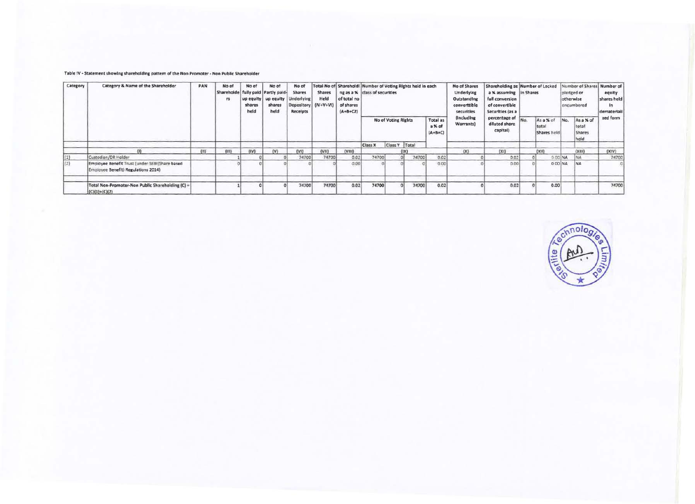### Table IV - Statement showing shareholding pattern of the Non Promoter - Non Public Shareholder

| Category | Category & Name of the Shareholder                                                    | PAN | No of<br>Shareholde   fully paid   Partly paid-<br>75 | No of<br>shares<br>held | No of<br>up equity   up equity  <br>shares<br>held | No of<br><b>Shares</b><br>Underlying<br>Depository (IV+V+VI)<br>Receipts | <b>Shares</b><br>Held | Total No of Sharehold! Number of Voting Rights held in each<br>of total no<br>of shares<br>$(A+B+CZ)$ | ng as a % class of securities |  |             |                                        | No of Shares<br>Underlying<br>Outstanding<br>converttible<br>securities | a % assuming in Shares<br>full conversion<br>of convertible<br>Securities (as a |     | Shareholding as Number of Locked  |         | pledged or<br>otherwise<br>encumbered       | Number of Shares Number of<br>equity<br>shares held<br>in<br>demateriali |
|----------|---------------------------------------------------------------------------------------|-----|-------------------------------------------------------|-------------------------|----------------------------------------------------|--------------------------------------------------------------------------|-----------------------|-------------------------------------------------------------------------------------------------------|-------------------------------|--|-------------|----------------------------------------|-------------------------------------------------------------------------|---------------------------------------------------------------------------------|-----|-----------------------------------|---------|---------------------------------------------|--------------------------------------------------------------------------|
|          |                                                                                       |     |                                                       |                         |                                                    |                                                                          |                       |                                                                                                       | <b>No of Voting Rights</b>    |  |             | <b>Total as</b><br>a % of<br>$(A+B+C)$ | (Including<br>Warrants)                                                 | percentage of<br>diluted share<br>capital)                                      | No. | As a % of<br>total<br>Shares held | No.     | As a % of<br>total<br><b>Shares</b><br>held | zed form                                                                 |
|          |                                                                                       |     |                                                       |                         |                                                    |                                                                          |                       |                                                                                                       | Class Y   Total<br>Class X    |  |             |                                        |                                                                         |                                                                                 |     |                                   |         |                                             |                                                                          |
|          |                                                                                       | III | (III)                                                 | [IV]                    | $\{V\}$                                            | (V1)                                                                     | (VII)                 | (VIII)                                                                                                |                               |  | (TX)        |                                        | (X)                                                                     | (x)                                                                             |     | (xii)                             |         | (XIII)                                      | (XIV)                                                                    |
| (1)      | Custodian/DR Holder                                                                   |     |                                                       |                         |                                                    | 74700                                                                    | 74700                 | 0.02                                                                                                  | 74700                         |  | 74700       | 0.02                                   |                                                                         | 0.02                                                                            |     |                                   | 0.00 NA |                                             | 74700                                                                    |
| (2)      | Employee Benefit Trust (under SEBI(Share based<br>Employee Benefit) Regulations 2014) |     |                                                       |                         |                                                    |                                                                          |                       | 0.00                                                                                                  |                               |  |             | 0.00                                   |                                                                         | 0.00                                                                            |     |                                   | 000 NA  | <b>NA</b>                                   |                                                                          |
|          | Total Non-Promoter-Non Public Shareholding (C) =<br>$(C)(1)+(C)(2)$                   |     |                                                       |                         |                                                    | 74700                                                                    | 74700                 | 0.02                                                                                                  | 74700                         |  | 74700<br>o۱ | 0.02                                   |                                                                         | 0.02                                                                            |     | 0.00                              |         |                                             | 74700                                                                    |